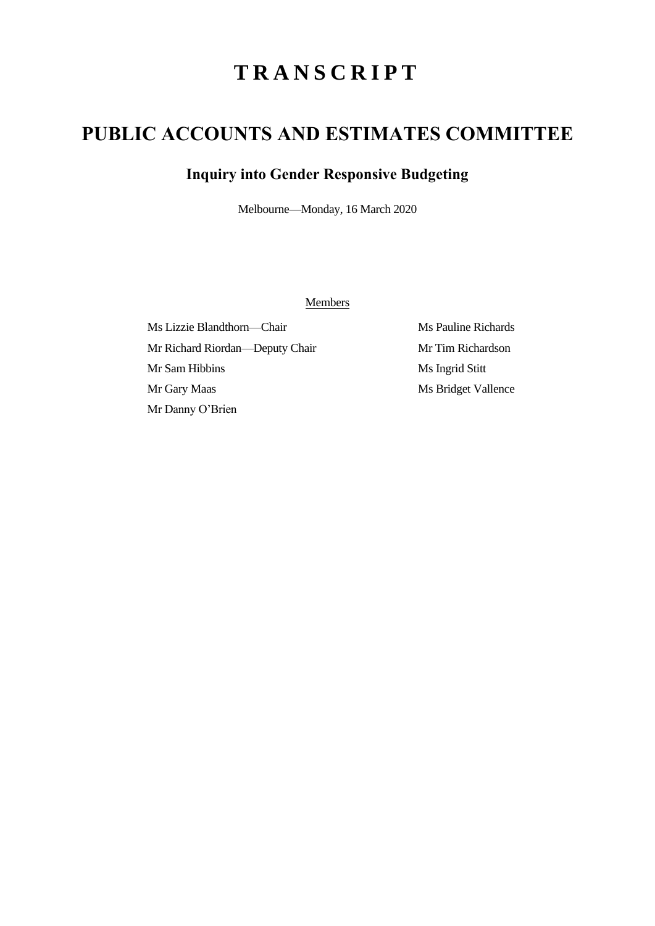## **T R A N S C R I P T**

## **PUBLIC ACCOUNTS AND ESTIMATES COMMITTEE**

## **Inquiry into Gender Responsive Budgeting**

Melbourne—Monday, 16 March 2020

**Members** 

Ms Lizzie Blandthorn—Chair Ms Pauline Richards Mr Richard Riordan—Deputy Chair Mr Tim Richardson Mr Sam Hibbins Ms Ingrid Stitt Mr Gary Maas Ms Bridget Vallence Mr Danny O'Brien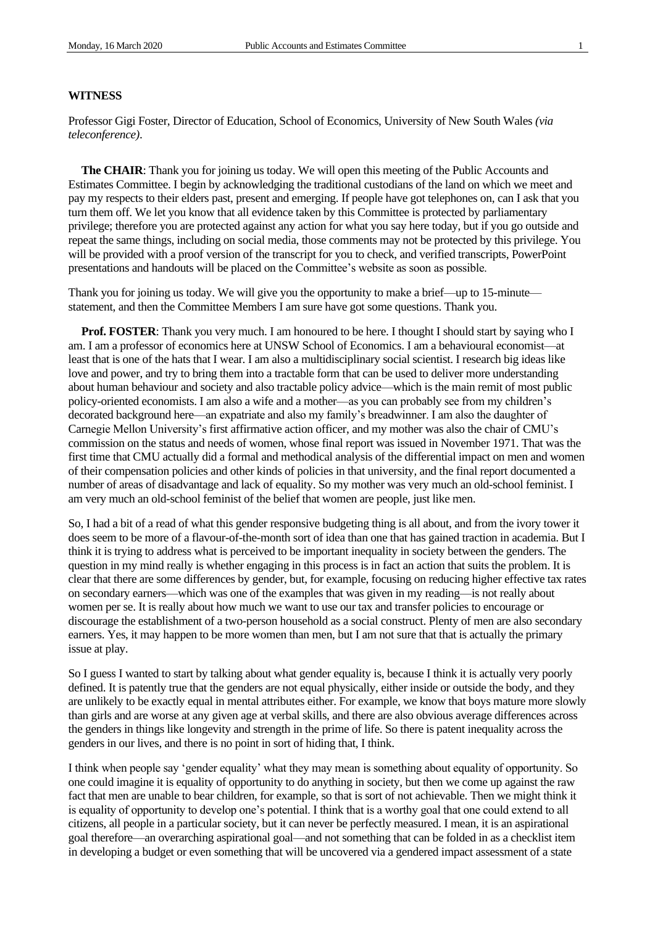## **WITNESS**

Professor Gigi Foster, Director of Education, School of Economics, University of New South Wales *(via teleconference)*.

**The CHAIR**: Thank you for joining us today. We will open this meeting of the Public Accounts and Estimates Committee. I begin by acknowledging the traditional custodians of the land on which we meet and pay my respects to their elders past, present and emerging. If people have got telephones on, can I ask that you turn them off. We let you know that all evidence taken by this Committee is protected by parliamentary privilege; therefore you are protected against any action for what you say here today, but if you go outside and repeat the same things, including on social media, those comments may not be protected by this privilege. You will be provided with a proof version of the transcript for you to check, and verified transcripts, PowerPoint presentations and handouts will be placed on the Committee's website as soon as possible.

Thank you for joining us today. We will give you the opportunity to make a brief—up to 15-minute statement, and then the Committee Members I am sure have got some questions. Thank you.

**Prof. FOSTER:** Thank you very much. I am honoured to be here. I thought I should start by saying who I am. I am a professor of economics here at UNSW School of Economics. I am a behavioural economist—at least that is one of the hats that I wear. I am also a multidisciplinary social scientist. I research big ideas like love and power, and try to bring them into a tractable form that can be used to deliver more understanding about human behaviour and society and also tractable policy advice—which is the main remit of most public policy-oriented economists. I am also a wife and a mother—as you can probably see from my children's decorated background here—an expatriate and also my family's breadwinner. I am also the daughter of Carnegie Mellon University's first affirmative action officer, and my mother was also the chair of CMU's commission on the status and needs of women, whose final report was issued in November 1971. That was the first time that CMU actually did a formal and methodical analysis of the differential impact on men and women of their compensation policies and other kinds of policies in that university, and the final report documented a number of areas of disadvantage and lack of equality. So my mother was very much an old-school feminist. I am very much an old-school feminist of the belief that women are people, just like men.

So, I had a bit of a read of what this gender responsive budgeting thing is all about, and from the ivory tower it does seem to be more of a flavour-of-the-month sort of idea than one that has gained traction in academia. But I think it is trying to address what is perceived to be important inequality in society between the genders. The question in my mind really is whether engaging in this process is in fact an action that suits the problem. It is clear that there are some differences by gender, but, for example, focusing on reducing higher effective tax rates on secondary earners—which was one of the examples that was given in my reading—is not really about women per se. It is really about how much we want to use our tax and transfer policies to encourage or discourage the establishment of a two-person household as a social construct. Plenty of men are also secondary earners. Yes, it may happen to be more women than men, but I am not sure that that is actually the primary issue at play.

So I guess I wanted to start by talking about what gender equality is, because I think it is actually very poorly defined. It is patently true that the genders are not equal physically, either inside or outside the body, and they are unlikely to be exactly equal in mental attributes either. For example, we know that boys mature more slowly than girls and are worse at any given age at verbal skills, and there are also obvious average differences across the genders in things like longevity and strength in the prime of life. So there is patent inequality across the genders in our lives, and there is no point in sort of hiding that, I think.

I think when people say 'gender equality' what they may mean is something about equality of opportunity. So one could imagine it is equality of opportunity to do anything in society, but then we come up against the raw fact that men are unable to bear children, for example, so that is sort of not achievable. Then we might think it is equality of opportunity to develop one's potential. I think that is a worthy goal that one could extend to all citizens, all people in a particular society, but it can never be perfectly measured. I mean, it is an aspirational goal therefore—an overarching aspirational goal—and not something that can be folded in as a checklist item in developing a budget or even something that will be uncovered via a gendered impact assessment of a state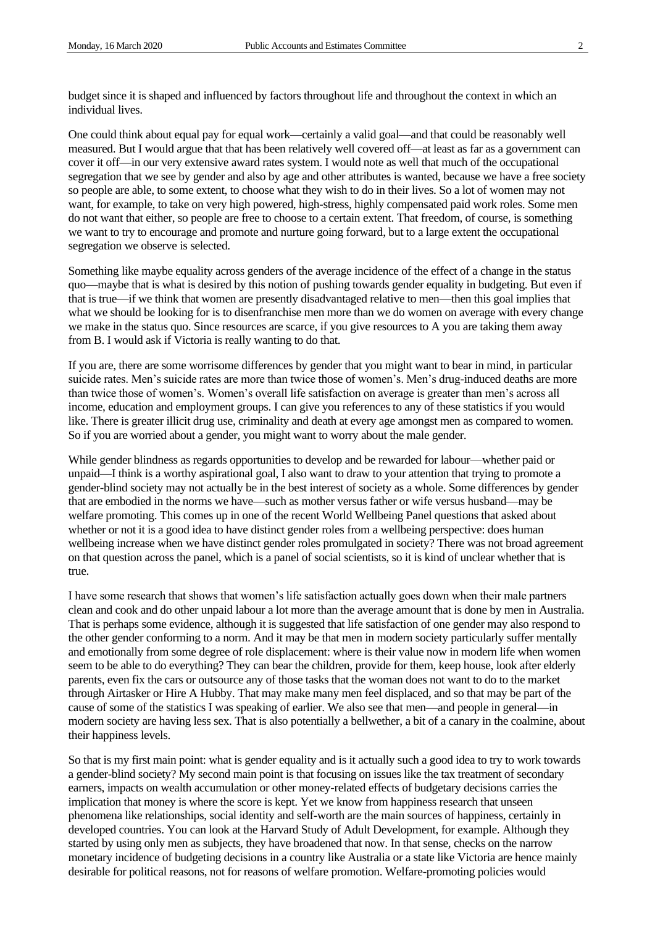budget since it is shaped and influenced by factors throughout life and throughout the context in which an individual lives.

One could think about equal pay for equal work—certainly a valid goal—and that could be reasonably well measured. But I would argue that that has been relatively well covered off—at least as far as a government can cover it off—in our very extensive award rates system. I would note as well that much of the occupational segregation that we see by gender and also by age and other attributes is wanted, because we have a free society so people are able, to some extent, to choose what they wish to do in their lives. So a lot of women may not want, for example, to take on very high powered, high-stress, highly compensated paid work roles. Some men do not want that either, so people are free to choose to a certain extent. That freedom, of course, is something we want to try to encourage and promote and nurture going forward, but to a large extent the occupational segregation we observe is selected.

Something like maybe equality across genders of the average incidence of the effect of a change in the status quo—maybe that is what is desired by this notion of pushing towards gender equality in budgeting. But even if that is true—if we think that women are presently disadvantaged relative to men—then this goal implies that what we should be looking for is to disenfranchise men more than we do women on average with every change we make in the status quo. Since resources are scarce, if you give resources to A you are taking them away from B. I would ask if Victoria is really wanting to do that.

If you are, there are some worrisome differences by gender that you might want to bear in mind, in particular suicide rates. Men's suicide rates are more than twice those of women's. Men's drug-induced deaths are more than twice those of women's. Women's overall life satisfaction on average is greater than men's across all income, education and employment groups. I can give you references to any of these statistics if you would like. There is greater illicit drug use, criminality and death at every age amongst men as compared to women. So if you are worried about a gender, you might want to worry about the male gender.

While gender blindness as regards opportunities to develop and be rewarded for labour—whether paid or unpaid—I think is a worthy aspirational goal, I also want to draw to your attention that trying to promote a gender-blind society may not actually be in the best interest of society as a whole. Some differences by gender that are embodied in the norms we have—such as mother versus father or wife versus husband—may be welfare promoting. This comes up in one of the recent World Wellbeing Panel questions that asked about whether or not it is a good idea to have distinct gender roles from a wellbeing perspective: does human wellbeing increase when we have distinct gender roles promulgated in society? There was not broad agreement on that question across the panel, which is a panel of social scientists, so it is kind of unclear whether that is true.

I have some research that shows that women's life satisfaction actually goes down when their male partners clean and cook and do other unpaid labour a lot more than the average amount that is done by men in Australia. That is perhaps some evidence, although it is suggested that life satisfaction of one gender may also respond to the other gender conforming to a norm. And it may be that men in modern society particularly suffer mentally and emotionally from some degree of role displacement: where is their value now in modern life when women seem to be able to do everything? They can bear the children, provide for them, keep house, look after elderly parents, even fix the cars or outsource any of those tasks that the woman does not want to do to the market through Airtasker or Hire A Hubby. That may make many men feel displaced, and so that may be part of the cause of some of the statistics I was speaking of earlier. We also see that men—and people in general—in modern society are having less sex. That is also potentially a bellwether, a bit of a canary in the coalmine, about their happiness levels.

So that is my first main point: what is gender equality and is it actually such a good idea to try to work towards a gender-blind society? My second main point is that focusing on issues like the tax treatment of secondary earners, impacts on wealth accumulation or other money-related effects of budgetary decisions carries the implication that money is where the score is kept. Yet we know from happiness research that unseen phenomena like relationships, social identity and self-worth are the main sources of happiness, certainly in developed countries. You can look at the Harvard Study of Adult Development, for example. Although they started by using only men as subjects, they have broadened that now. In that sense, checks on the narrow monetary incidence of budgeting decisions in a country like Australia or a state like Victoria are hence mainly desirable for political reasons, not for reasons of welfare promotion. Welfare-promoting policies would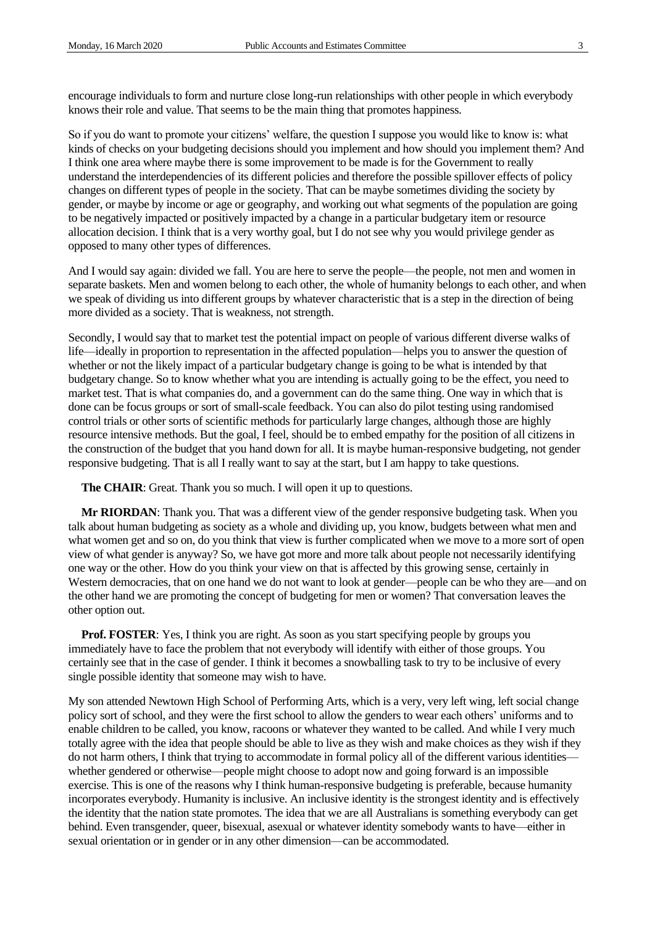encourage individuals to form and nurture close long-run relationships with other people in which everybody knows their role and value. That seems to be the main thing that promotes happiness.

So if you do want to promote your citizens' welfare, the question I suppose you would like to know is: what kinds of checks on your budgeting decisions should you implement and how should you implement them? And I think one area where maybe there is some improvement to be made is for the Government to really understand the interdependencies of its different policies and therefore the possible spillover effects of policy changes on different types of people in the society. That can be maybe sometimes dividing the society by gender, or maybe by income or age or geography, and working out what segments of the population are going to be negatively impacted or positively impacted by a change in a particular budgetary item or resource allocation decision. I think that is a very worthy goal, but I do not see why you would privilege gender as opposed to many other types of differences.

And I would say again: divided we fall. You are here to serve the people—the people, not men and women in separate baskets. Men and women belong to each other, the whole of humanity belongs to each other, and when we speak of dividing us into different groups by whatever characteristic that is a step in the direction of being more divided as a society. That is weakness, not strength.

Secondly, I would say that to market test the potential impact on people of various different diverse walks of life—ideally in proportion to representation in the affected population—helps you to answer the question of whether or not the likely impact of a particular budgetary change is going to be what is intended by that budgetary change. So to know whether what you are intending is actually going to be the effect, you need to market test. That is what companies do, and a government can do the same thing. One way in which that is done can be focus groups or sort of small-scale feedback. You can also do pilot testing using randomised control trials or other sorts of scientific methods for particularly large changes, although those are highly resource intensive methods. But the goal, I feel, should be to embed empathy for the position of all citizens in the construction of the budget that you hand down for all. It is maybe human-responsive budgeting, not gender responsive budgeting. That is all I really want to say at the start, but I am happy to take questions.

**The CHAIR**: Great. Thank you so much. I will open it up to questions.

**Mr RIORDAN:** Thank you. That was a different view of the gender responsive budgeting task. When you talk about human budgeting as society as a whole and dividing up, you know, budgets between what men and what women get and so on, do you think that view is further complicated when we move to a more sort of open view of what gender is anyway? So, we have got more and more talk about people not necessarily identifying one way or the other. How do you think your view on that is affected by this growing sense, certainly in Western democracies, that on one hand we do not want to look at gender—people can be who they are—and on the other hand we are promoting the concept of budgeting for men or women? That conversation leaves the other option out.

**Prof. FOSTER:** Yes, I think you are right. As soon as you start specifying people by groups you immediately have to face the problem that not everybody will identify with either of those groups. You certainly see that in the case of gender. I think it becomes a snowballing task to try to be inclusive of every single possible identity that someone may wish to have.

My son attended Newtown High School of Performing Arts, which is a very, very left wing, left social change policy sort of school, and they were the first school to allow the genders to wear each others' uniforms and to enable children to be called, you know, racoons or whatever they wanted to be called. And while I very much totally agree with the idea that people should be able to live as they wish and make choices as they wish if they do not harm others, I think that trying to accommodate in formal policy all of the different various identities whether gendered or otherwise—people might choose to adopt now and going forward is an impossible exercise. This is one of the reasons why I think human-responsive budgeting is preferable, because humanity incorporates everybody. Humanity is inclusive. An inclusive identity is the strongest identity and is effectively the identity that the nation state promotes. The idea that we are all Australians is something everybody can get behind. Even transgender, queer, bisexual, asexual or whatever identity somebody wants to have—either in sexual orientation or in gender or in any other dimension—can be accommodated.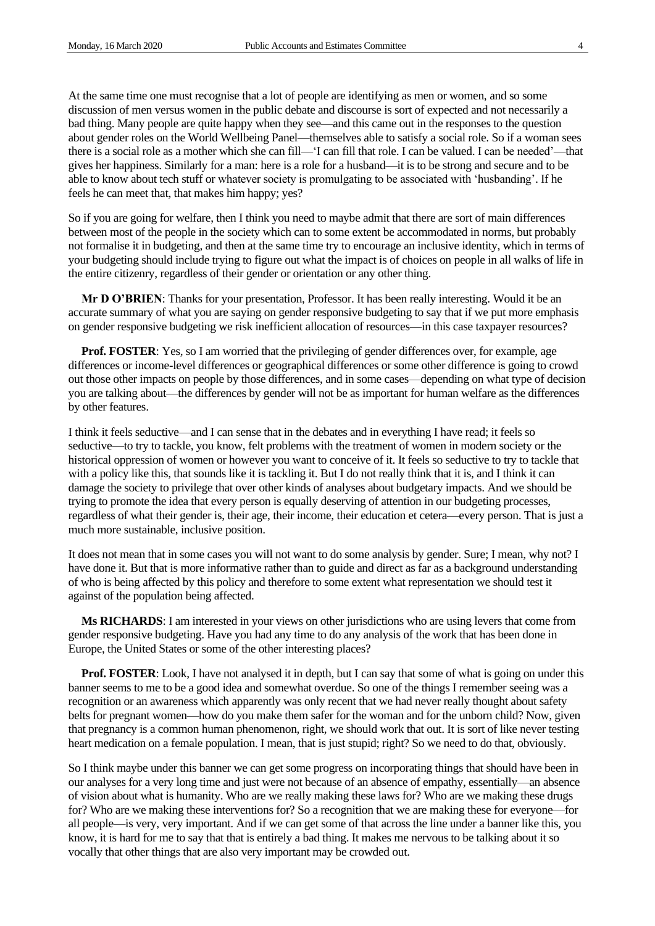At the same time one must recognise that a lot of people are identifying as men or women, and so some discussion of men versus women in the public debate and discourse is sort of expected and not necessarily a bad thing. Many people are quite happy when they see—and this came out in the responses to the question about gender roles on the World Wellbeing Panel—themselves able to satisfy a social role. So if a woman sees there is a social role as a mother which she can fill—'I can fill that role. I can be valued. I can be needed'—that gives her happiness. Similarly for a man: here is a role for a husband—it is to be strong and secure and to be able to know about tech stuff or whatever society is promulgating to be associated with 'husbanding'. If he feels he can meet that, that makes him happy; yes?

So if you are going for welfare, then I think you need to maybe admit that there are sort of main differences between most of the people in the society which can to some extent be accommodated in norms, but probably not formalise it in budgeting, and then at the same time try to encourage an inclusive identity, which in terms of your budgeting should include trying to figure out what the impact is of choices on people in all walks of life in the entire citizenry, regardless of their gender or orientation or any other thing.

**Mr D O'BRIEN**: Thanks for your presentation, Professor. It has been really interesting. Would it be an accurate summary of what you are saying on gender responsive budgeting to say that if we put more emphasis on gender responsive budgeting we risk inefficient allocation of resources—in this case taxpayer resources?

**Prof. FOSTER**: Yes, so I am worried that the privileging of gender differences over, for example, age differences or income-level differences or geographical differences or some other difference is going to crowd out those other impacts on people by those differences, and in some cases—depending on what type of decision you are talking about—the differences by gender will not be as important for human welfare as the differences by other features.

I think it feels seductive—and I can sense that in the debates and in everything I have read; it feels so seductive—to try to tackle, you know, felt problems with the treatment of women in modern society or the historical oppression of women or however you want to conceive of it. It feels so seductive to try to tackle that with a policy like this, that sounds like it is tackling it. But I do not really think that it is, and I think it can damage the society to privilege that over other kinds of analyses about budgetary impacts. And we should be trying to promote the idea that every person is equally deserving of attention in our budgeting processes, regardless of what their gender is, their age, their income, their education et cetera—every person. That is just a much more sustainable, inclusive position.

It does not mean that in some cases you will not want to do some analysis by gender. Sure; I mean, why not? I have done it. But that is more informative rather than to guide and direct as far as a background understanding of who is being affected by this policy and therefore to some extent what representation we should test it against of the population being affected.

**Ms RICHARDS**: I am interested in your views on other jurisdictions who are using levers that come from gender responsive budgeting. Have you had any time to do any analysis of the work that has been done in Europe, the United States or some of the other interesting places?

**Prof. FOSTER:** Look, I have not analysed it in depth, but I can say that some of what is going on under this banner seems to me to be a good idea and somewhat overdue. So one of the things I remember seeing was a recognition or an awareness which apparently was only recent that we had never really thought about safety belts for pregnant women—how do you make them safer for the woman and for the unborn child? Now, given that pregnancy is a common human phenomenon, right, we should work that out. It is sort of like never testing heart medication on a female population. I mean, that is just stupid; right? So we need to do that, obviously.

So I think maybe under this banner we can get some progress on incorporating things that should have been in our analyses for a very long time and just were not because of an absence of empathy, essentially—an absence of vision about what is humanity. Who are we really making these laws for? Who are we making these drugs for? Who are we making these interventions for? So a recognition that we are making these for everyone—for all people—is very, very important. And if we can get some of that across the line under a banner like this, you know, it is hard for me to say that that is entirely a bad thing. It makes me nervous to be talking about it so vocally that other things that are also very important may be crowded out.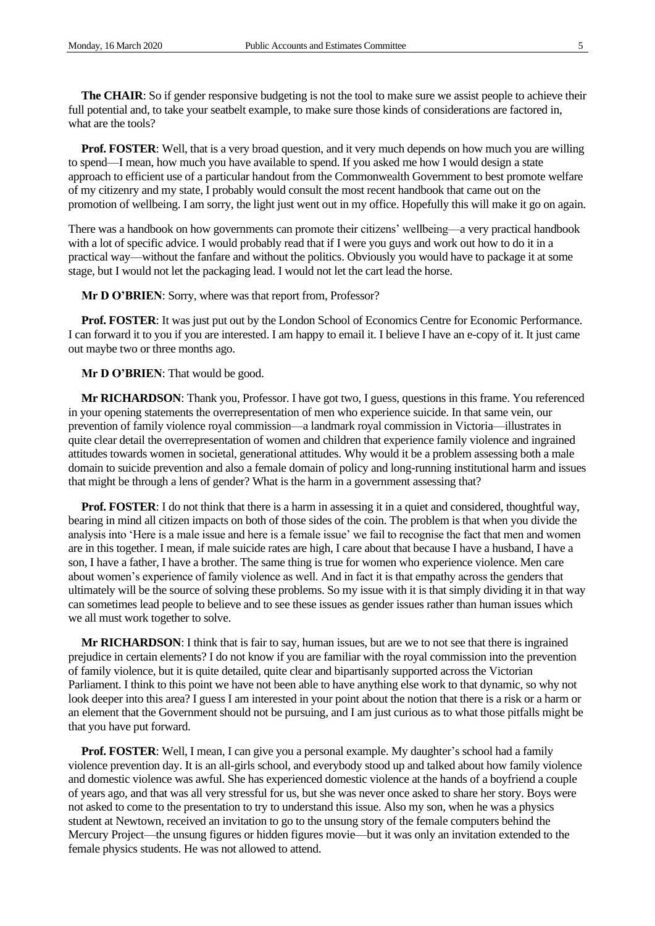**The CHAIR**: So if gender responsive budgeting is not the tool to make sure we assist people to achieve their full potential and, to take your seatbelt example, to make sure those kinds of considerations are factored in, what are the tools?

**Prof. FOSTER:** Well, that is a very broad question, and it very much depends on how much you are willing to spend—I mean, how much you have available to spend. If you asked me how I would design a state approach to efficient use of a particular handout from the Commonwealth Government to best promote welfare of my citizenry and my state, I probably would consult the most recent handbook that came out on the promotion of wellbeing. I am sorry, the light just went out in my office. Hopefully this will make it go on again.

There was a handbook on how governments can promote their citizens' wellbeing—a very practical handbook with a lot of specific advice. I would probably read that if I were you guys and work out how to do it in a practical way—without the fanfare and without the politics. Obviously you would have to package it at some stage, but I would not let the packaging lead. I would not let the cart lead the horse.

**Mr D O'BRIEN**: Sorry, where was that report from, Professor?

**Prof. FOSTER**: It was just put out by the London School of Economics Centre for Economic Performance. I can forward it to you if you are interested. I am happy to email it. I believe I have an e-copy of it. It just came out maybe two or three months ago.

**Mr D O'BRIEN**: That would be good.

**Mr RICHARDSON**: Thank you, Professor. I have got two, I guess, questions in this frame. You referenced in your opening statements the overrepresentation of men who experience suicide. In that same vein, our prevention of family violence royal commission—a landmark royal commission in Victoria—illustrates in quite clear detail the overrepresentation of women and children that experience family violence and ingrained attitudes towards women in societal, generational attitudes. Why would it be a problem assessing both a male domain to suicide prevention and also a female domain of policy and long-running institutional harm and issues that might be through a lens of gender? What is the harm in a government assessing that?

**Prof. FOSTER:** I do not think that there is a harm in assessing it in a quiet and considered, thoughtful way, bearing in mind all citizen impacts on both of those sides of the coin. The problem is that when you divide the analysis into 'Here is a male issue and here is a female issue' we fail to recognise the fact that men and women are in this together. I mean, if male suicide rates are high, I care about that because I have a husband, I have a son, I have a father, I have a brother. The same thing is true for women who experience violence. Men care about women's experience of family violence as well. And in fact it is that empathy across the genders that ultimately will be the source of solving these problems. So my issue with it is that simply dividing it in that way can sometimes lead people to believe and to see these issues as gender issues rather than human issues which we all must work together to solve.

**Mr RICHARDSON**: I think that is fair to say, human issues, but are we to not see that there is ingrained prejudice in certain elements? I do not know if you are familiar with the royal commission into the prevention of family violence, but it is quite detailed, quite clear and bipartisanly supported across the Victorian Parliament. I think to this point we have not been able to have anything else work to that dynamic, so why not look deeper into this area? I guess I am interested in your point about the notion that there is a risk or a harm or an element that the Government should not be pursuing, and I am just curious as to what those pitfalls might be that you have put forward.

**Prof. FOSTER:** Well, I mean, I can give you a personal example. My daughter's school had a family violence prevention day. It is an all-girls school, and everybody stood up and talked about how family violence and domestic violence was awful. She has experienced domestic violence at the hands of a boyfriend a couple of years ago, and that was all very stressful for us, but she was never once asked to share her story. Boys were not asked to come to the presentation to try to understand this issue. Also my son, when he was a physics student at Newtown, received an invitation to go to the unsung story of the female computers behind the Mercury Project—the unsung figures or hidden figures movie—but it was only an invitation extended to the female physics students. He was not allowed to attend.